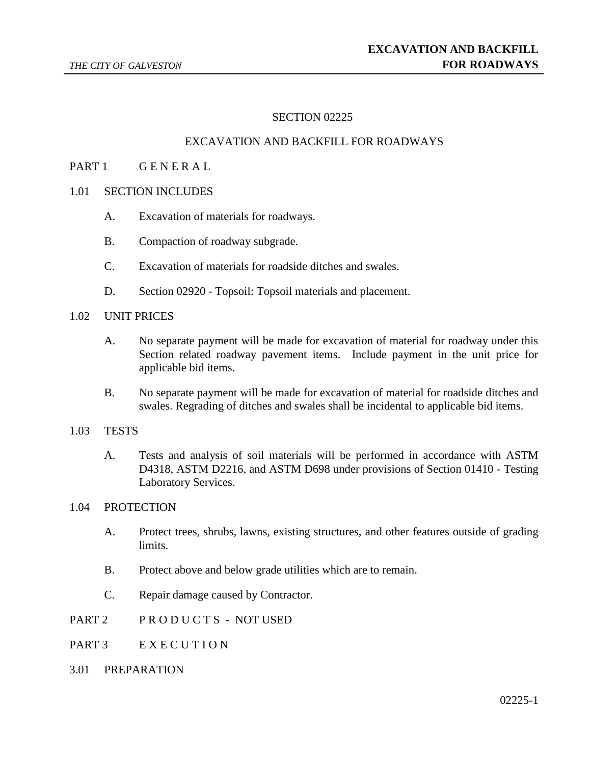# SECTION 02225

### EXCAVATION AND BACKFILL FOR ROADWAYS

## PART 1 GENERAL

- 1.01 SECTION INCLUDES
	- A. Excavation of materials for roadways.
	- B. Compaction of roadway subgrade.
	- C. Excavation of materials for roadside ditches and swales.
	- D. Section 02920 Topsoil: Topsoil materials and placement.

## 1.02 UNIT PRICES

- A. No separate payment will be made for excavation of material for roadway under this Section related roadway pavement items. Include payment in the unit price for applicable bid items.
- B. No separate payment will be made for excavation of material for roadside ditches and swales. Regrading of ditches and swales shall be incidental to applicable bid items.

#### 1.03 TESTS

A. Tests and analysis of soil materials will be performed in accordance with ASTM D4318, ASTM D2216, and ASTM D698 under provisions of Section 01410 - Testing Laboratory Services.

#### 1.04 PROTECTION

- A. Protect trees, shrubs, lawns, existing structures, and other features outside of grading limits.
- B. Protect above and below grade utilities which are to remain.
- C. Repair damage caused by Contractor.
- PART 2 PRODUCTS NOT USED
- PART 3 EXECUTION
- 3.01 PREPARATION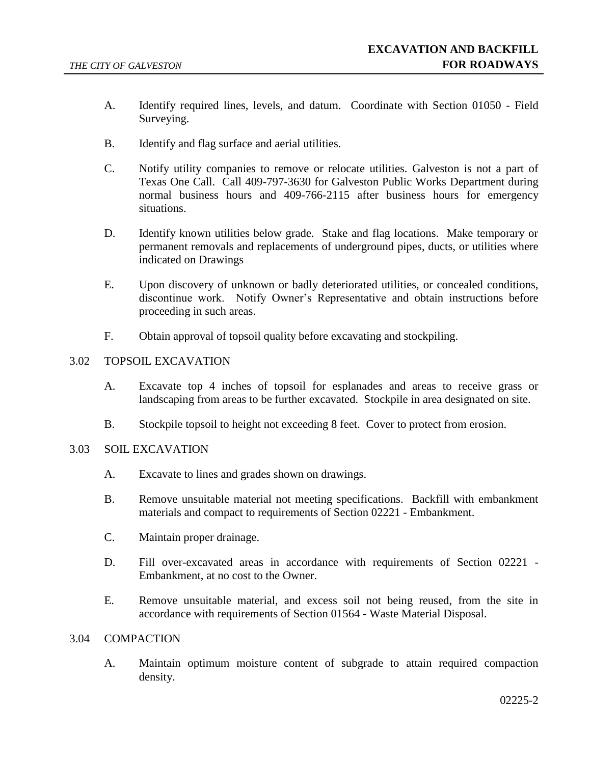- A. Identify required lines, levels, and datum. Coordinate with Section 01050 Field Surveying.
- B. Identify and flag surface and aerial utilities.
- C. Notify utility companies to remove or relocate utilities. Galveston is not a part of Texas One Call. Call 409-797-3630 for Galveston Public Works Department during normal business hours and 409-766-2115 after business hours for emergency situations.
- D. Identify known utilities below grade. Stake and flag locations. Make temporary or permanent removals and replacements of underground pipes, ducts, or utilities where indicated on Drawings
- E. Upon discovery of unknown or badly deteriorated utilities, or concealed conditions, discontinue work. Notify Owner's Representative and obtain instructions before proceeding in such areas.
- F. Obtain approval of topsoil quality before excavating and stockpiling.

### 3.02 TOPSOIL EXCAVATION

- A. Excavate top 4 inches of topsoil for esplanades and areas to receive grass or landscaping from areas to be further excavated. Stockpile in area designated on site.
- B. Stockpile topsoil to height not exceeding 8 feet. Cover to protect from erosion.

#### 3.03 SOIL EXCAVATION

- A. Excavate to lines and grades shown on drawings.
- B. Remove unsuitable material not meeting specifications. Backfill with embankment materials and compact to requirements of Section 02221 - Embankment.
- C. Maintain proper drainage.
- D. Fill over-excavated areas in accordance with requirements of Section 02221 Embankment, at no cost to the Owner.
- E. Remove unsuitable material, and excess soil not being reused, from the site in accordance with requirements of Section 01564 - Waste Material Disposal.

## 3.04 COMPACTION

A. Maintain optimum moisture content of subgrade to attain required compaction density.